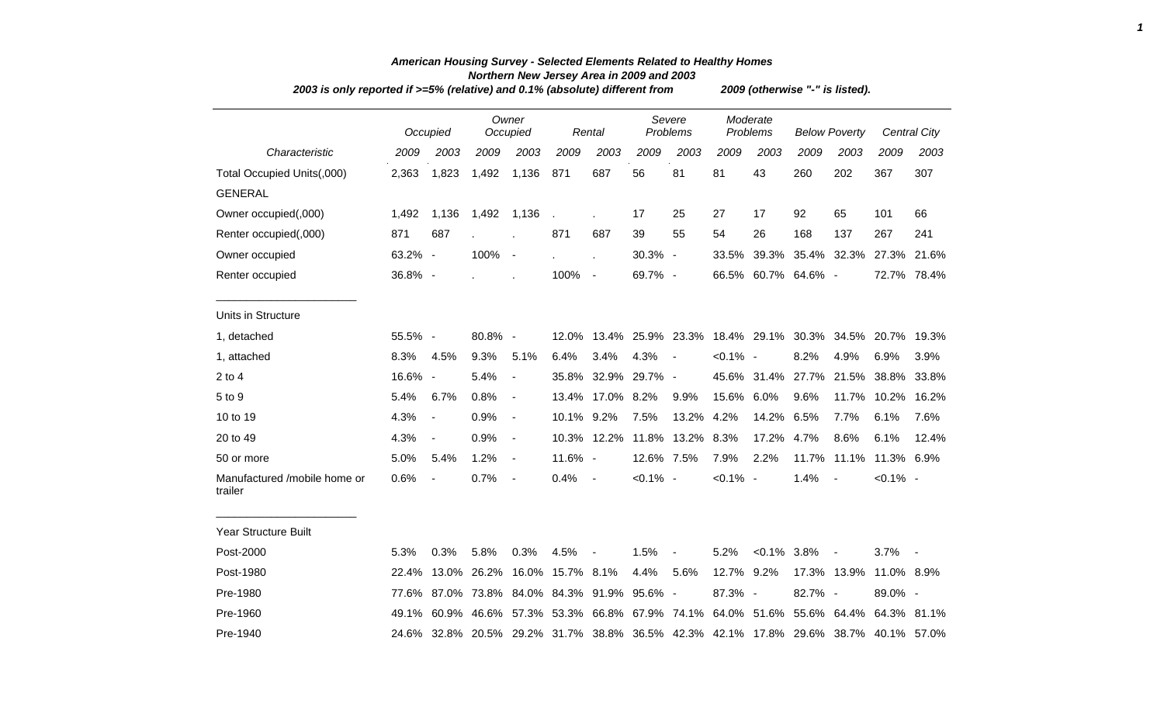|                                         | 2003 is only reported if >=5% (relative) and 0.1% (absolute) different from<br>Owner |                          |             |                          |                  |                                                       |               |                               |                      |                         | 2009 (otherwise "-" is listed). |                          |                                                                               |                     |  |  |  |
|-----------------------------------------|--------------------------------------------------------------------------------------|--------------------------|-------------|--------------------------|------------------|-------------------------------------------------------|---------------|-------------------------------|----------------------|-------------------------|---------------------------------|--------------------------|-------------------------------------------------------------------------------|---------------------|--|--|--|
|                                         |                                                                                      | Occupied                 |             | Occupied                 |                  | Rental                                                |               | Severe<br>Problems            | Moderate<br>Problems |                         | <b>Below Poverty</b>            |                          |                                                                               | <b>Central City</b> |  |  |  |
| Characteristic                          | 2009                                                                                 | 2003                     | 2009        | 2003                     | 2009             | 2003                                                  | 2009          | 2003                          | 2009                 | 2003                    | 2009                            | 2003                     | 2009                                                                          | 2003                |  |  |  |
| Total Occupied Units(,000)              | 2,363                                                                                | 1,823                    | 1,492       | 1,136                    | 871              | 687                                                   | 56            | 81                            | 81                   | 43                      | 260                             | 202                      | 367                                                                           | 307                 |  |  |  |
| <b>GENERAL</b>                          |                                                                                      |                          |             |                          |                  |                                                       |               |                               |                      |                         |                                 |                          |                                                                               |                     |  |  |  |
| Owner occupied(,000)                    | 1,492                                                                                | 1,136                    | 1,492       | 1,136                    | l.               |                                                       | 17            | 25                            | 27                   | 17                      | 92                              | 65                       | 101                                                                           | 66                  |  |  |  |
| Renter occupied(,000)                   | 871                                                                                  | 687                      | ÷.          |                          | 871              | 687                                                   | 39            | 55                            | 54                   | 26                      | 168                             | 137                      | 267                                                                           | 241                 |  |  |  |
| Owner occupied                          | 63.2% -                                                                              |                          | 100%        | $\overline{\phantom{a}}$ |                  | J.                                                    | 30.3% -       |                               | 33.5%                | 39.3%                   |                                 | 35.4% 32.3%              | 27.3%                                                                         | 21.6%               |  |  |  |
| Renter occupied                         | 36.8% -                                                                              |                          |             |                          | 100%             | $\overline{\phantom{a}}$                              | 69.7% -       |                               |                      | 66.5% 60.7% 64.6% -     |                                 |                          |                                                                               | 72.7% 78.4%         |  |  |  |
| Units in Structure                      |                                                                                      |                          |             |                          |                  |                                                       |               |                               |                      |                         |                                 |                          |                                                                               |                     |  |  |  |
| 1, detached                             | 55.5% -                                                                              |                          | 80.8% -     |                          | 12.0%            |                                                       |               | 13.4% 25.9% 23.3% 18.4% 29.1% |                      |                         |                                 | 30.3% 34.5%              | 20.7% 19.3%                                                                   |                     |  |  |  |
| 1, attached                             | 8.3%                                                                                 | 4.5%                     | 9.3%        | 5.1%                     | 6.4%             | 3.4%                                                  | 4.3%          | $\blacksquare$                | $< 0.1\%$ -          |                         | 8.2%                            | 4.9%                     | 6.9%                                                                          | 3.9%                |  |  |  |
| $2$ to $4$                              | 16.6%                                                                                | $\overline{\phantom{a}}$ | 5.4%        | $\blacksquare$           | 35.8%            |                                                       | 32.9% 29.7% - |                               |                      | 45.6% 31.4% 27.7% 21.5% |                                 |                          | 38.8%                                                                         | 33.8%               |  |  |  |
| 5 to 9                                  | 5.4%                                                                                 | 6.7%                     | 0.8%        | $\overline{\phantom{a}}$ | 13.4%            | 17.0%                                                 | 8.2%          | 9.9%                          | 15.6%                | 6.0%                    | 9.6%                            | 11.7%                    | 10.2%                                                                         | 16.2%               |  |  |  |
| 10 to 19                                | 4.3%                                                                                 | $\blacksquare$           | 0.9%        | $\blacksquare$           | 10.1%            | 9.2%                                                  | 7.5%          | 13.2%                         | 4.2%                 | 14.2%                   | 6.5%                            | 7.7%                     | 6.1%                                                                          | 7.6%                |  |  |  |
| 20 to 49                                | 4.3%                                                                                 | $\blacksquare$           | 0.9%        | $\blacksquare$           |                  | 10.3% 12.2% 11.8%                                     |               | 13.2%                         | 8.3%                 | 17.2%                   | 4.7%                            | 8.6%                     | 6.1%                                                                          | 12.4%               |  |  |  |
| 50 or more                              | 5.0%                                                                                 | 5.4%                     | 1.2%        | $\blacksquare$           | $11.6\%$ -       |                                                       | 12.6% 7.5%    |                               | 7.9%                 | 2.2%                    |                                 | 11.7% 11.1%              | 11.3% 6.9%                                                                    |                     |  |  |  |
| Manufactured /mobile home or<br>trailer | 0.6%                                                                                 | $\overline{a}$           | 0.7%        | $\overline{\phantom{a}}$ | 0.4%             | $\blacksquare$                                        | $< 0.1\%$ -   |                               | $< 0.1\%$ -          |                         | 1.4%                            |                          | $< 0.1\%$ -                                                                   |                     |  |  |  |
| Year Structure Built                    |                                                                                      |                          |             |                          |                  |                                                       |               |                               |                      |                         |                                 |                          |                                                                               |                     |  |  |  |
| Post-2000                               | 5.3%                                                                                 | 0.3%                     | 5.8%        | 0.3%                     | 4.5%             | $\overline{\phantom{a}}$                              | 1.5%          | $\blacksquare$                | 5.2%                 | $<0.1\%$ 3.8%           |                                 | $\overline{\phantom{a}}$ | 3.7%                                                                          | $\sim$              |  |  |  |
| Post-1980                               | 22.4%                                                                                |                          | 13.0% 26.2% |                          | 16.0% 15.7% 8.1% |                                                       | 4.4%          | 5.6%                          | 12.7%                | 9.2%                    |                                 | 17.3% 13.9%              | 11.0% 8.9%                                                                    |                     |  |  |  |
| Pre-1980                                | 77.6%                                                                                |                          |             |                          |                  | 87.0% 73.8% 84.0% 84.3% 91.9% 95.6% -                 |               |                               | 87.3% -              |                         | 82.7% -                         |                          | 89.0% -                                                                       |                     |  |  |  |
| Pre-1960                                | 49.1%                                                                                |                          |             |                          |                  | 60.9% 46.6% 57.3% 53.3% 66.8% 67.9% 74.1% 64.0% 51.6% |               |                               |                      |                         |                                 | 55.6% 64.4%              | 64.3% 81.1%                                                                   |                     |  |  |  |
| Pre-1940                                | 24.6%                                                                                |                          |             |                          |                  |                                                       |               |                               |                      |                         |                                 |                          | 32.8% 20.5% 29.2% 31.7% 38.8% 36.5% 42.3% 42.1% 17.8% 29.6% 38.7% 40.1% 57.0% |                     |  |  |  |

## *American Housing Survey - Selected Elements Related to Healthy Homes Northern New Jersey Area in 2009 and 2003*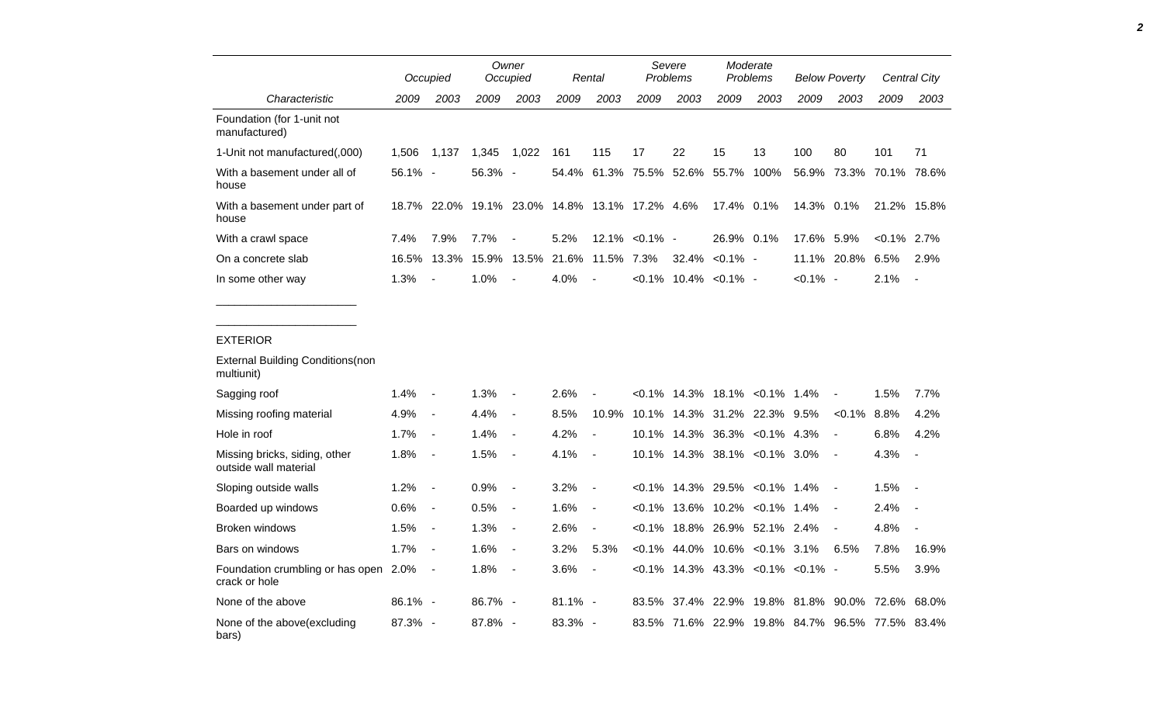|                                                        | Occupied   |                          |         | Owner<br>Occupied        |                                                | Rental                   | Severe<br><b>Problems</b> |                                       | Moderate<br>Problems |                         | <b>Below Poverty</b> |                                                 | Central City   |                          |
|--------------------------------------------------------|------------|--------------------------|---------|--------------------------|------------------------------------------------|--------------------------|---------------------------|---------------------------------------|----------------------|-------------------------|----------------------|-------------------------------------------------|----------------|--------------------------|
| Characteristic                                         | 2009       | 2003                     | 2009    | 2003                     | 2009                                           | 2003                     | 2009                      | 2003                                  | 2009                 | 2003                    | 2009                 | 2003                                            | 2009           | 2003                     |
| Foundation (for 1-unit not<br>manufactured)            |            |                          |         |                          |                                                |                          |                           |                                       |                      |                         |                      |                                                 |                |                          |
| 1-Unit not manufactured(,000)                          | 1,506      | 1,137                    | 1,345   | 1,022                    | 161                                            | 115                      | 17                        | 22                                    | 15                   | 13                      | 100                  | 80                                              | 101            | 71                       |
| With a basement under all of<br>house                  | $56.1\% -$ |                          | 56.3%   | $\sim$                   | 54.4%                                          |                          | 61.3% 75.5%               | 52.6%                                 | 55.7%                | 100%                    | 56.9%                | 73.3%                                           |                | 70.1% 78.6%              |
| With a basement under part of<br>house                 |            |                          |         |                          | 18.7% 22.0% 19.1% 23.0% 14.8% 13.1% 17.2% 4.6% |                          |                           |                                       | 17.4% 0.1%           |                         | 14.3% 0.1%           |                                                 |                | 21.2% 15.8%              |
| With a crawl space                                     | 7.4%       | 7.9%                     | 7.7%    |                          | 5.2%                                           |                          | 12.1% < 0.1% -            |                                       | 26.9% 0.1%           |                         | 17.6% 5.9%           |                                                 | $< 0.1\%$ 2.7% |                          |
| On a concrete slab                                     | 16.5%      | 13.3%                    | 15.9%   | 13.5%                    | 21.6%                                          | 11.5% 7.3%               |                           | 32.4%                                 | $< 0.1\%$ -          |                         |                      | 11.1% 20.8%                                     | 6.5%           | 2.9%                     |
| In some other way                                      | 1.3%       |                          | 1.0%    |                          | 4.0%                                           |                          |                           | $< 0.1\%$ 10.4% $< 0.1\%$ -           |                      |                         | $< 0.1\%$ -          |                                                 | 2.1%           | $\overline{\phantom{a}}$ |
|                                                        |            |                          |         |                          |                                                |                          |                           |                                       |                      |                         |                      |                                                 |                |                          |
|                                                        |            |                          |         |                          |                                                |                          |                           |                                       |                      |                         |                      |                                                 |                |                          |
| <b>EXTERIOR</b>                                        |            |                          |         |                          |                                                |                          |                           |                                       |                      |                         |                      |                                                 |                |                          |
| <b>External Building Conditions (non</b><br>multiunit) |            |                          |         |                          |                                                |                          |                           |                                       |                      |                         |                      |                                                 |                |                          |
| Sagging roof                                           | 1.4%       | $\overline{\phantom{a}}$ | 1.3%    |                          | 2.6%                                           |                          |                           | $<0.1\%$ 14.3% 18.1% $<0.1\%$ 1.4%    |                      |                         |                      |                                                 | 1.5%           | 7.7%                     |
| Missing roofing material                               | 4.9%       | $\blacksquare$           | 4.4%    | $\overline{a}$           | 8.5%                                           | 10.9%                    |                           | 10.1% 14.3% 31.2% 22.3% 9.5%          |                      |                         |                      | $< 0.1\%$                                       | 8.8%           | 4.2%                     |
| Hole in roof                                           | 1.7%       | $\blacksquare$           | 1.4%    | $\overline{\phantom{a}}$ | 4.2%                                           | $\overline{\phantom{a}}$ |                           | 10.1% 14.3% 36.3% < 0.1% 4.3%         |                      |                         |                      | $\overline{a}$                                  | 6.8%           | 4.2%                     |
| Missing bricks, siding, other<br>outside wall material | 1.8%       | $\blacksquare$           | 1.5%    | $\overline{\phantom{a}}$ | 4.1%                                           | $\blacksquare$           |                           | 10.1% 14.3% 38.1% < 0.1% 3.0%         |                      |                         |                      | $\blacksquare$                                  | 4.3%           | $\overline{\phantom{a}}$ |
| Sloping outside walls                                  | 1.2%       | $\overline{\phantom{a}}$ | 0.9%    | $\blacksquare$           | 3.2%                                           | $\overline{\phantom{a}}$ | $<0.1\%$                  |                                       |                      | 14.3% 29.5% < 0.1% 1.4% |                      | $\overline{a}$                                  | 1.5%           | $\blacksquare$           |
| Boarded up windows                                     | 0.6%       | $\blacksquare$           | 0.5%    | $\blacksquare$           | 1.6%                                           | $\overline{\phantom{a}}$ |                           | $< 0.1\%$ 13.6% 10.2% < 0.1% 1.4%     |                      |                         |                      | $\overline{a}$                                  | 2.4%           | $\blacksquare$           |
| <b>Broken windows</b>                                  | 1.5%       | $\blacksquare$           | 1.3%    | $\blacksquare$           | 2.6%                                           | $\overline{\phantom{a}}$ | $<0.1\%$                  |                                       |                      | 18.8% 26.9% 52.1% 2.4%  |                      |                                                 | 4.8%           |                          |
| Bars on windows                                        | 1.7%       | $\blacksquare$           | 1.6%    | $\overline{\phantom{a}}$ | 3.2%                                           | 5.3%                     |                           | $<0.1\%$ 44.0% 10.6% $<0.1\%$ 3.1%    |                      |                         |                      | 6.5%                                            | 7.8%           | 16.9%                    |
| Foundation crumbling or has open 2.0%<br>crack or hole |            | $\overline{\phantom{a}}$ | 1.8%    | $\blacksquare$           | 3.6%                                           | $\overline{\phantom{a}}$ |                           | $< 0.1\%$ 14.3% 43.3% < 0.1% < 0.1% - |                      |                         |                      |                                                 | 5.5%           | 3.9%                     |
| None of the above                                      | 86.1% -    |                          | 86.7% - |                          | $81.1\%$ -                                     |                          |                           | 83.5% 37.4% 22.9%                     |                      | 19.8% 81.8%             |                      | 90.0% 72.6% 68.0%                               |                |                          |
| None of the above (excluding                           | 87.3% -    |                          | 87.8% - |                          | $83.3\% -$                                     |                          |                           |                                       |                      |                         |                      | 83.5% 71.6% 22.9% 19.8% 84.7% 96.5% 77.5% 83.4% |                |                          |

*2*

bars)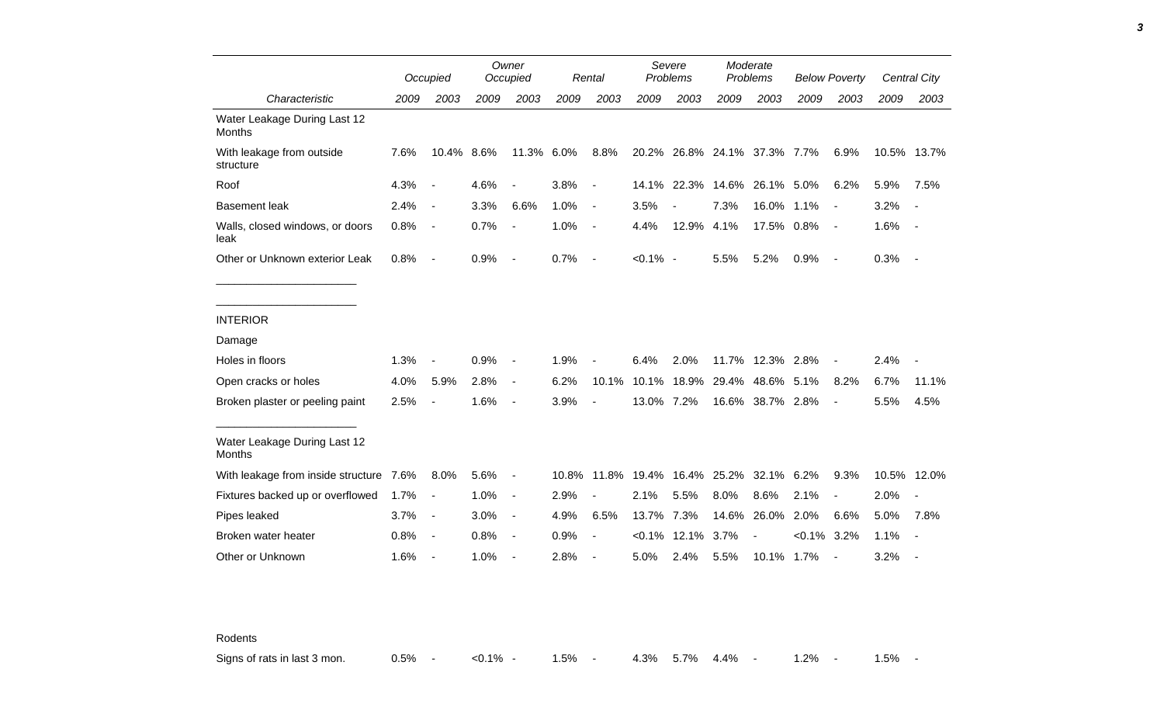|                                               |      | Occupied                 |      | Owner<br>Occupied        |       | Rental                   |             | Severe<br>Problems |                        | Moderate<br>Problems     |                | <b>Below Poverty</b>     |             | Central City             |
|-----------------------------------------------|------|--------------------------|------|--------------------------|-------|--------------------------|-------------|--------------------|------------------------|--------------------------|----------------|--------------------------|-------------|--------------------------|
| Characteristic                                | 2009 | 2003                     | 2009 | 2003                     | 2009  | 2003                     | 2009        | 2003               | 2009                   | 2003                     | 2009           | 2003                     | 2009        | 2003                     |
| Water Leakage During Last 12<br><b>Months</b> |      |                          |      |                          |       |                          |             |                    |                        |                          |                |                          |             |                          |
| With leakage from outside<br>structure        | 7.6% | 10.4% 8.6%               |      | 11.3% 6.0%               |       | 8.8%                     | 20.2%       |                    | 26.8% 24.1% 37.3% 7.7% |                          |                | 6.9%                     | 10.5% 13.7% |                          |
| Roof                                          | 4.3% | $\overline{\phantom{a}}$ | 4.6% | $\overline{\phantom{a}}$ | 3.8%  | $\overline{\phantom{a}}$ | 14.1%       | 22.3%              | 14.6%                  | 26.1% 5.0%               |                | 6.2%                     | 5.9%        | 7.5%                     |
| <b>Basement leak</b>                          | 2.4% | $\blacksquare$           | 3.3% | 6.6%                     | 1.0%  | $\blacksquare$           | 3.5%        |                    | 7.3%                   | 16.0% 1.1%               |                | $\blacksquare$           | 3.2%        |                          |
| Walls, closed windows, or doors<br>leak       | 0.8% | $\overline{\phantom{a}}$ | 0.7% | $\overline{\phantom{a}}$ | 1.0%  | $\overline{\phantom{a}}$ | 4.4%        | 12.9% 4.1%         |                        | 17.5% 0.8%               |                | $\sim$                   | 1.6%        | $\sim$                   |
| Other or Unknown exterior Leak                | 0.8% | $\overline{\phantom{a}}$ | 0.9% | $\blacksquare$           | 0.7%  | $\blacksquare$           | $< 0.1\%$ - |                    | 5.5%                   | 5.2%                     | 0.9%           | $\sim$                   | 0.3%        | $\sim$                   |
|                                               |      |                          |      |                          |       |                          |             |                    |                        |                          |                |                          |             |                          |
| <b>INTERIOR</b>                               |      |                          |      |                          |       |                          |             |                    |                        |                          |                |                          |             |                          |
| Damage                                        |      |                          |      |                          |       |                          |             |                    |                        |                          |                |                          |             |                          |
| Holes in floors                               | 1.3% | $\blacksquare$           | 0.9% | $\blacksquare$           | 1.9%  |                          | 6.4%        | 2.0%               |                        | 11.7% 12.3% 2.8%         |                |                          | 2.4%        |                          |
| Open cracks or holes                          | 4.0% | 5.9%                     | 2.8% | $\blacksquare$           | 6.2%  | 10.1%                    | 10.1%       | 18.9%              | 29.4%                  | 48.6% 5.1%               |                | 8.2%                     | 6.7%        | 11.1%                    |
| Broken plaster or peeling paint               | 2.5% | $\overline{\phantom{a}}$ | 1.6% | $\overline{\phantom{a}}$ | 3.9%  | $\overline{\phantom{a}}$ | 13.0% 7.2%  |                    |                        | 16.6% 38.7% 2.8%         |                | $\blacksquare$           | 5.5%        | 4.5%                     |
| Water Leakage During Last 12<br>Months        |      |                          |      |                          |       |                          |             |                    |                        |                          |                |                          |             |                          |
| With leakage from inside structure 7.6%       |      | 8.0%                     | 5.6% | $\blacksquare$           | 10.8% |                          | 11.8% 19.4% |                    | 16.4% 25.2%            | 32.1% 6.2%               |                | 9.3%                     | 10.5%       | 12.0%                    |
| Fixtures backed up or overflowed              | 1.7% | $\overline{\phantom{a}}$ | 1.0% | $\blacksquare$           | 2.9%  | $\overline{\phantom{a}}$ | 2.1%        | 5.5%               | 8.0%                   | 8.6%                     | 2.1%           | $\blacksquare$           | 2.0%        |                          |
| Pipes leaked                                  | 3.7% | $\blacksquare$           | 3.0% | $\blacksquare$           | 4.9%  | 6.5%                     | 13.7%       | 7.3%               | 14.6%                  | 26.0%                    | 2.0%           | 6.6%                     | 5.0%        | 7.8%                     |
| Broken water heater                           | 0.8% | $\overline{\phantom{a}}$ | 0.8% | $\blacksquare$           | 0.9%  | $\blacksquare$           | $< 0.1\%$   | 12.1%              | 3.7%                   | $\overline{\phantom{a}}$ | $< 0.1\%$ 3.2% |                          | 1.1%        | $\overline{\phantom{a}}$ |
| Other or Unknown                              | 1.6% | $\blacksquare$           | 1.0% |                          | 2.8%  |                          | 5.0%        | 2.4%               | 5.5%                   | 10.1% 1.7%               |                | $\overline{\phantom{a}}$ | 3.2%        |                          |

Rodents

Signs of rats in last 3 mon.  $0.5\%$  - <0.1% - 1.5% - 4.3% 5.7% 4.4% - 1.2% - 1.5% -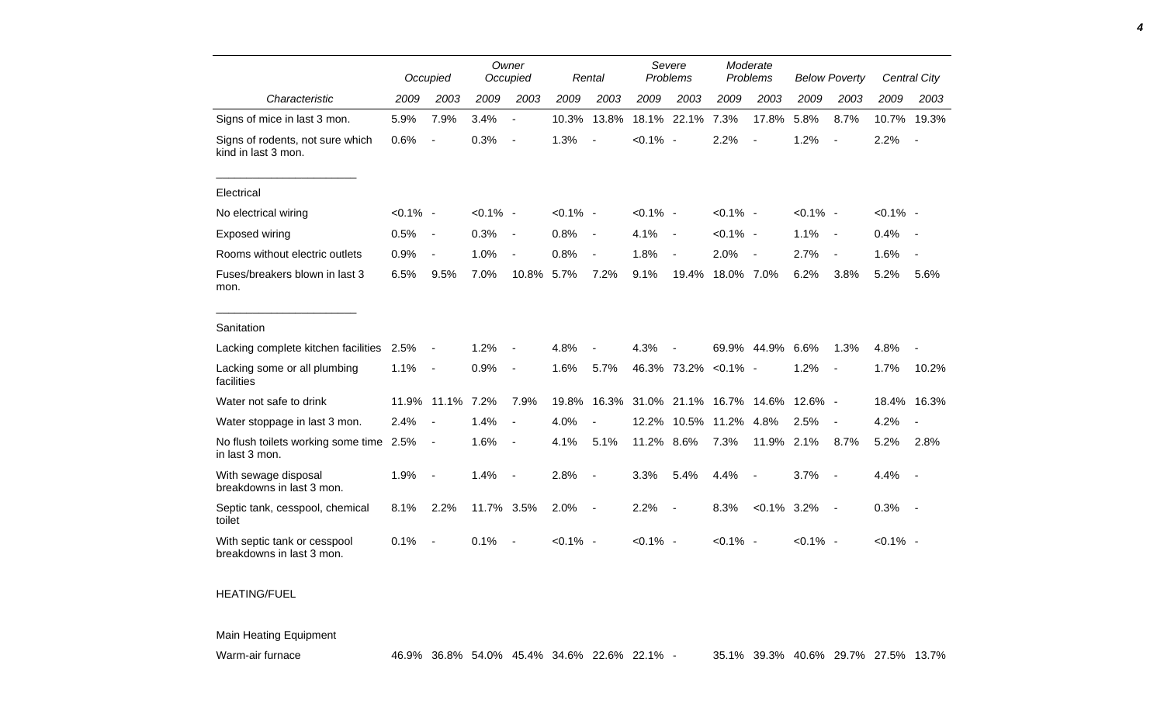|                                                           |             | Occupied                 |             | Owner<br>Occupied        |             | Rental                   |             | Severe<br>Problems       | Moderate<br>Problems |                | <b>Below Poverty</b> |                          |             | Central City             |
|-----------------------------------------------------------|-------------|--------------------------|-------------|--------------------------|-------------|--------------------------|-------------|--------------------------|----------------------|----------------|----------------------|--------------------------|-------------|--------------------------|
| Characteristic                                            | 2009        | 2003                     | 2009        | 2003                     | 2009        | 2003                     | 2009        | 2003                     | 2009                 | 2003           | 2009                 | 2003                     | 2009        | 2003                     |
| Signs of mice in last 3 mon.                              | 5.9%        | 7.9%                     | 3.4%        | $\blacksquare$           | 10.3%       | 13.8%                    | 18.1%       | 22.1%                    | 7.3%                 | 17.8%          | 5.8%                 | 8.7%                     | 10.7%       | 19.3%                    |
| Signs of rodents, not sure which<br>kind in last 3 mon.   | 0.6%        |                          | 0.3%        | $\blacksquare$           | 1.3%        |                          | $< 0.1\%$ - |                          | 2.2%                 |                | 1.2%                 |                          | 2.2%        |                          |
| Electrical                                                |             |                          |             |                          |             |                          |             |                          |                      |                |                      |                          |             |                          |
| No electrical wiring                                      | $< 0.1\%$ - |                          | $< 0.1\%$ - |                          | $< 0.1\%$ - |                          | $< 0.1\%$ - |                          | $< 0.1\%$ -          |                | $< 0.1\%$ -          |                          | $< 0.1\%$ - |                          |
| Exposed wiring                                            | 0.5%        | $\overline{\phantom{a}}$ | 0.3%        | $\blacksquare$           | 0.8%        | $\overline{\phantom{a}}$ | 4.1%        | $\blacksquare$           | $< 0.1\%$ -          |                | 1.1%                 | $\sim$                   | 0.4%        |                          |
| Rooms without electric outlets                            | 0.9%        | $\blacksquare$           | 1.0%        | $\blacksquare$           | 0.8%        | $\overline{\phantom{a}}$ | 1.8%        | $\overline{\phantom{a}}$ | 2.0%                 | $\blacksquare$ | 2.7%                 | $\blacksquare$           | 1.6%        |                          |
| Fuses/breakers blown in last 3<br>mon.                    | 6.5%        | 9.5%                     | 7.0%        | 10.8%                    | 5.7%        | 7.2%                     | 9.1%        | 19.4%                    | 18.0% 7.0%           |                | 6.2%                 | 3.8%                     | 5.2%        | 5.6%                     |
| Sanitation                                                |             |                          |             |                          |             |                          |             |                          |                      |                |                      |                          |             |                          |
| Lacking complete kitchen facilities                       | 2.5%        | $\overline{\phantom{a}}$ | 1.2%        |                          | 4.8%        |                          | 4.3%        |                          | 69.9%                | 44.9%          | 6.6%                 | 1.3%                     | 4.8%        |                          |
| Lacking some or all plumbing<br>facilities                | 1.1%        | $\overline{\phantom{a}}$ | 0.9%        | $\overline{\phantom{a}}$ | 1.6%        | 5.7%                     |             | 46.3% 73.2%              | $< 0.1\%$ -          |                | 1.2%                 | $\overline{\phantom{a}}$ | 1.7%        | 10.2%                    |
| Water not safe to drink                                   | 11.9%       | 11.1%                    | 7.2%        | 7.9%                     | 19.8%       | 16.3%                    |             | 31.0% 21.1% 16.7% 14.6%  |                      |                | $12.6\%$ -           |                          | 18.4%       | 16.3%                    |
| Water stoppage in last 3 mon.                             | 2.4%        | $\overline{\phantom{a}}$ | 1.4%        | $\overline{\phantom{a}}$ | 4.0%        |                          | 12.2%       | 10.5%                    | 11.2%                | 4.8%           | 2.5%                 | $\overline{\phantom{a}}$ | 4.2%        |                          |
| No flush toilets working some time 2.5%<br>in last 3 mon. |             | $\overline{\phantom{a}}$ | 1.6%        | $\blacksquare$           | 4.1%        | 5.1%                     | 11.2%       | 8.6%                     | 7.3%                 | 11.9%          | 2.1%                 | 8.7%                     | 5.2%        | 2.8%                     |
| With sewage disposal<br>breakdowns in last 3 mon.         | 1.9%        | $\overline{\phantom{a}}$ | 1.4%        | $\blacksquare$           | 2.8%        | $\overline{\phantom{a}}$ | 3.3%        | 5.4%                     | 4.4%                 | $\blacksquare$ | 3.7%                 | $\overline{\phantom{a}}$ | 4.4%        | $\overline{\phantom{a}}$ |
| Septic tank, cesspool, chemical<br>toilet                 | 8.1%        | 2.2%                     | 11.7% 3.5%  |                          | 2.0%        | $\overline{\phantom{a}}$ | 2.2%        | $\overline{\phantom{a}}$ | 8.3%                 | $< 0.1\%$      | 3.2%                 | $\sim$                   | 0.3%        | $\sim$                   |
| With septic tank or cesspool<br>breakdowns in last 3 mon. | 0.1%        |                          | 0.1%        |                          | $< 0.1\%$ - |                          | $< 0.1\%$ - |                          | $< 0.1\%$ -          |                | $< 0.1\%$ -          |                          | $< 0.1\%$ - |                          |

## HEATING/FUEL

## Main Heating Equipment

Warm-air furnace 46.9% 36.8% 54.0% 45.4% 34.6% 22.6% 22.1% - 35.1% 39.3% 40.6% 29.7% 27.5% 13.7%

*4*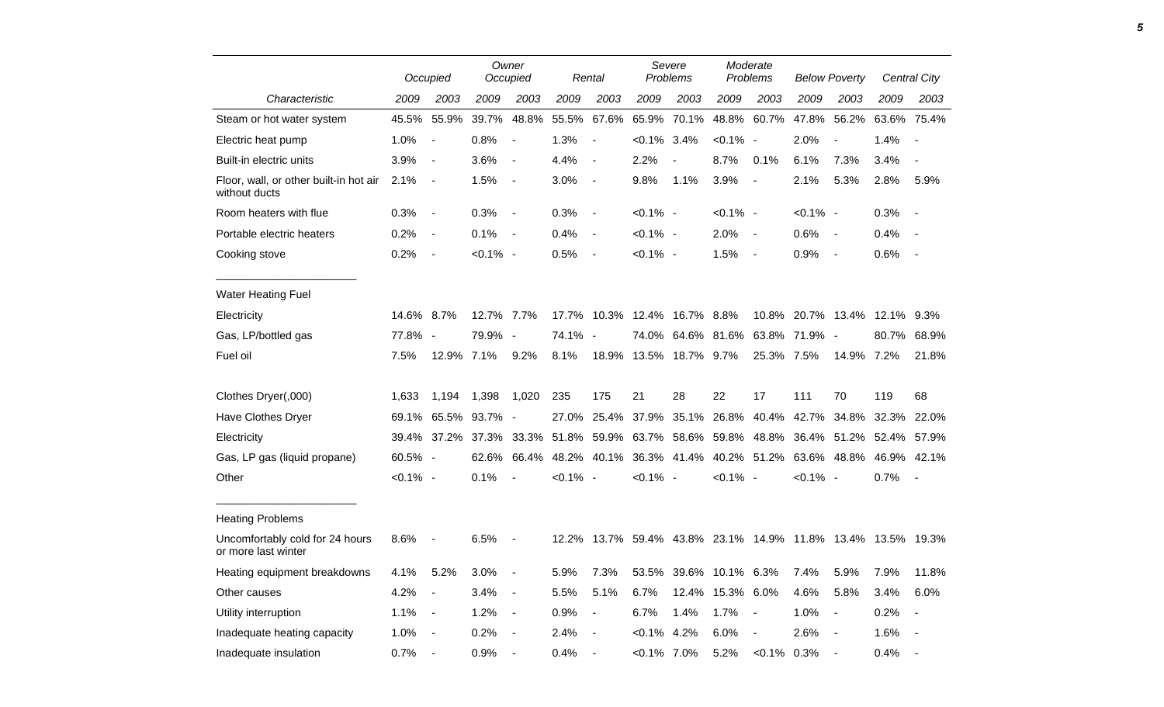|                                                         |             | Occupied                 |             | Owner<br>Occupied        |             | Rental                   |                | Severe<br>Problems                                    |                  | Moderate<br>Problems |                   | <b>Below Poverty</b>     |                         | <b>Central City</b>      |
|---------------------------------------------------------|-------------|--------------------------|-------------|--------------------------|-------------|--------------------------|----------------|-------------------------------------------------------|------------------|----------------------|-------------------|--------------------------|-------------------------|--------------------------|
| Characteristic                                          | 2009        | 2003                     | 2009        | 2003                     | 2009        | 2003                     | 2009           | 2003                                                  | 2009             | 2003                 | 2009              | 2003                     | 2009                    | 2003                     |
| Steam or hot water system                               | 45.5%       | 55.9%                    | 39.7%       | 48.8%                    | 55.5%       | 67.6%                    | 65.9%          | 70.1%                                                 |                  | 48.8% 60.7%          | 47.8%             | 56.2%                    | 63.6% 75.4%             |                          |
| Electric heat pump                                      | 1.0%        | $\overline{\phantom{a}}$ | 0.8%        | $\blacksquare$           | 1.3%        | $\overline{\phantom{a}}$ | $< 0.1\%$ 3.4% |                                                       | $< 0.1\%$ -      |                      | 2.0%              | $\overline{\phantom{a}}$ | 1.4%                    | $\overline{\phantom{a}}$ |
| Built-in electric units                                 | 3.9%        | $\blacksquare$           | 3.6%        | $\blacksquare$           | 4.4%        | $\overline{\phantom{a}}$ | 2.2%           |                                                       | 8.7%             | 0.1%                 | 6.1%              | 7.3%                     | 3.4%                    | $\overline{a}$           |
| Floor, wall, or other built-in hot air<br>without ducts | 2.1%        | $\blacksquare$           | 1.5%        | $\blacksquare$           | 3.0%        | $\overline{\phantom{a}}$ | 9.8%           | 1.1%                                                  | 3.9%             | $\sim$               | 2.1%              | 5.3%                     | 2.8%                    | 5.9%                     |
| Room heaters with flue                                  | 0.3%        | $\blacksquare$           | 0.3%        | $\blacksquare$           | 0.3%        | $\sim$                   | $< 0.1\%$ -    |                                                       | $< 0.1\%$ -      |                      | $< 0.1\%$ -       |                          | 0.3%                    |                          |
| Portable electric heaters                               | 0.2%        | $\blacksquare$           | 0.1%        | $\blacksquare$           | 0.4%        | $\overline{\phantom{a}}$ | $< 0.1\%$ -    |                                                       | 2.0%             | $\sim$ $-$           | 0.6%              | $\sim$ $-$               | 0.4%                    |                          |
| Cooking stove                                           | 0.2%        | $\blacksquare$           | $< 0.1\%$ - |                          | 0.5%        | $\overline{\phantom{a}}$ | $< 0.1\%$ -    |                                                       | 1.5%             | $\sim$ $-$           | 0.9%              | $\sim$                   | 0.6%                    | $\overline{\phantom{a}}$ |
| <b>Water Heating Fuel</b>                               |             |                          |             |                          |             |                          |                |                                                       |                  |                      |                   |                          |                         |                          |
| Electricity                                             | 14.6% 8.7%  |                          | 12.7% 7.7%  |                          |             |                          |                | 17.7% 10.3% 12.4% 16.7% 8.8%                          |                  |                      | 10.8% 20.7% 13.4% |                          | 12.1% 9.3%              |                          |
| Gas, LP/bottled gas                                     | 77.8% -     |                          | 79.9%       | $\sim$                   | 74.1% -     |                          |                | 74.0% 64.6% 81.6% 63.8%                               |                  |                      | 71.9% -           |                          | 80.7%                   | 68.9%                    |
| Fuel oil                                                | 7.5%        | 12.9% 7.1%               |             | 9.2%                     | 8.1%        |                          |                | 18.9% 13.5% 18.7% 9.7%                                |                  | 25.3% 7.5%           |                   | 14.9% 7.2%               |                         | 21.8%                    |
| Clothes Dryer(,000)                                     | 1,633       | 1,194                    | 1,398       | 1,020                    | 235         | 175                      | 21             | 28                                                    | 22               | 17                   | 111               | 70                       | 119                     | 68                       |
| Have Clothes Dryer                                      | 69.1%       | 65.5%                    | 93.7%       | $\overline{\phantom{a}}$ | 27.0%       | 25.4%                    | 37.9%          | 35.1%                                                 | 26.8%            | 40.4%                | 42.7%             | 34.8%                    | 32.3%                   | 22.0%                    |
| Electricity                                             |             | 39.4% 37.2% 37.3%        |             |                          |             |                          |                | 33.3% 51.8% 59.9% 63.7% 58.6% 59.8% 48.8%             |                  |                      |                   |                          | 36.4% 51.2% 52.4% 57.9% |                          |
| Gas, LP gas (liquid propane)                            | 60.5% -     |                          | 62.6%       | 66.4%                    |             |                          |                | 48.2% 40.1% 36.3% 41.4% 40.2% 51.2%                   |                  |                      |                   | 63.6% 48.8%              | 46.9%                   | 42.1%                    |
| Other                                                   | $< 0.1\%$ - |                          | 0.1%        | $\overline{\phantom{a}}$ | $< 0.1\%$ - |                          | $< 0.1\%$ -    |                                                       | $< 0.1\%$ -      |                      | $< 0.1\%$ -       |                          | 0.7%                    | $\overline{\phantom{a}}$ |
| <b>Heating Problems</b>                                 |             |                          |             |                          |             |                          |                |                                                       |                  |                      |                   |                          |                         |                          |
| Uncomfortably cold for 24 hours<br>or more last winter  | 8.6%        |                          | 6.5%        |                          | 12.2%       |                          |                | 13.7% 59.4% 43.8% 23.1% 14.9% 11.8% 13.4% 13.5% 19.3% |                  |                      |                   |                          |                         |                          |
| Heating equipment breakdowns                            | 4.1%        | 5.2%                     | 3.0%        |                          | 5.9%        | 7.3%                     | 53.5%          |                                                       | 39.6% 10.1% 6.3% |                      | 7.4%              | 5.9%                     | 7.9%                    | 11.8%                    |
| Other causes                                            | 4.2%        |                          | 3.4%        | $\blacksquare$           | 5.5%        | 5.1%                     | 6.7%           |                                                       | 12.4% 15.3% 6.0% |                      | 4.6%              | 5.8%                     | 3.4%                    | 6.0%                     |
| Utility interruption                                    | 1.1%        | $\overline{\phantom{a}}$ | 1.2%        | $\blacksquare$           | 0.9%        | $\blacksquare$           | 6.7%           | 1.4%                                                  | 1.7%             | $\sim$               | 1.0%              | $\blacksquare$           | 0.2%                    |                          |
| Inadequate heating capacity                             | 1.0%        | $\blacksquare$           | 0.2%        | $\blacksquare$           | 2.4%        | $\blacksquare$           | $< 0.1\%$ 4.2% |                                                       | 6.0%             |                      | 2.6%              |                          | 1.6%                    | $\overline{a}$           |
| Inadequate insulation                                   | 0.7%        | $\blacksquare$           | 0.9%        |                          | 0.4%        |                          | $<0.1\%$ 7.0%  |                                                       | 5.2%             | $< 0.1\%$ 0.3%       |                   |                          | 0.4%                    |                          |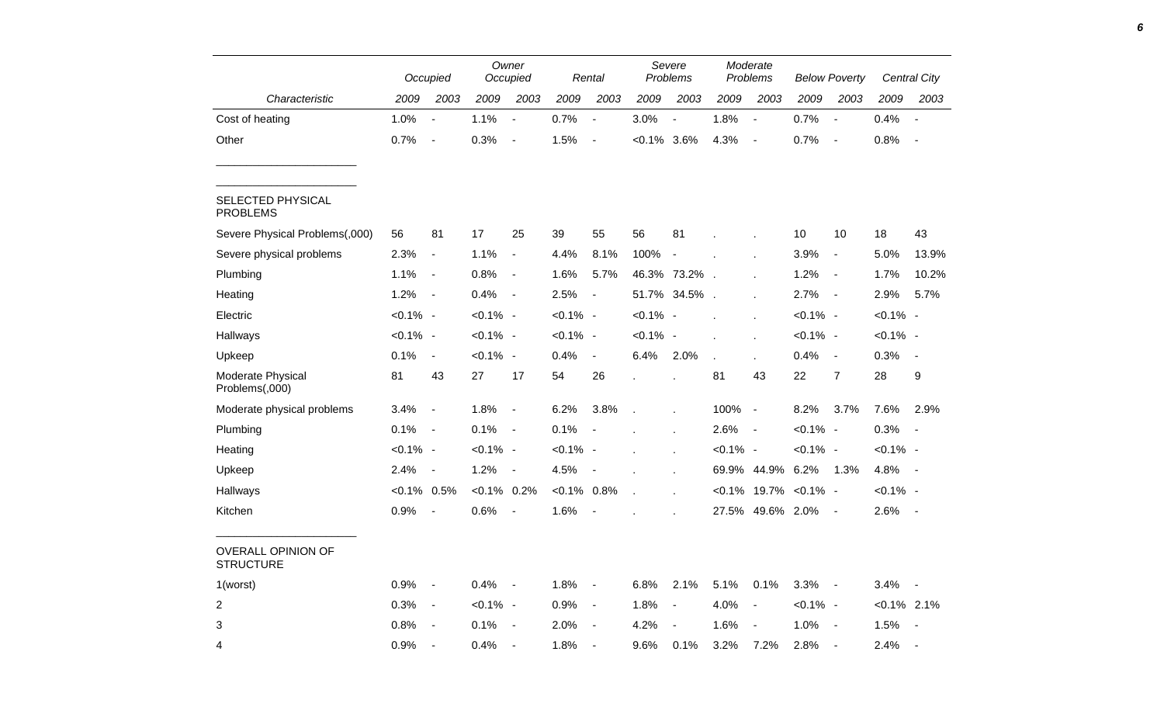|                                               |                | Occupied                 |                | Owner<br>Occupied        |                | Rental                   |                | Severe<br>Problems       |              | Moderate<br>Problems        |             | <b>Below Poverty</b> |                | Central City   |
|-----------------------------------------------|----------------|--------------------------|----------------|--------------------------|----------------|--------------------------|----------------|--------------------------|--------------|-----------------------------|-------------|----------------------|----------------|----------------|
| Characteristic                                | 2009           | 2003                     | 2009           | 2003                     | 2009           | 2003                     | 2009           | 2003                     | 2009         | 2003                        | 2009        | 2003                 | 2009           | 2003           |
| Cost of heating                               | 1.0%           | $\overline{\phantom{a}}$ | 1.1%           | $\blacksquare$           | 0.7%           | $\blacksquare$           | 3.0%           | $\overline{\phantom{a}}$ | 1.8%         | $\blacksquare$              | 0.7%        | $\blacksquare$       | 0.4%           | $\blacksquare$ |
| Other                                         | 0.7%           | $\sim$ $-$               | 0.3%           | $\blacksquare$           | 1.5%           | $\blacksquare$           | $< 0.1\%$ 3.6% |                          | 4.3%         | $\sim$ $-$                  | 0.7%        | $\sim$               | 0.8%           | $\sim$ $-$     |
| SELECTED PHYSICAL<br><b>PROBLEMS</b>          |                |                          |                |                          |                |                          |                |                          |              |                             |             |                      |                |                |
| Severe Physical Problems(,000)                | 56             | 81                       | 17             | 25                       | 39             | 55                       | 56             | 81                       |              |                             | 10          | 10                   | 18             | 43             |
| Severe physical problems                      | 2.3%           | $\blacksquare$           | 1.1%           | $\blacksquare$           | 4.4%           | 8.1%                     | 100% -         |                          |              |                             | 3.9%        | $\blacksquare$       | 5.0%           | 13.9%          |
| Plumbing                                      | 1.1%           | $\blacksquare$           | 0.8%           | $\blacksquare$           | 1.6%           | 5.7%                     |                | 46.3% 73.2%.             |              |                             | 1.2%        | $\blacksquare$       | 1.7%           | 10.2%          |
| Heating                                       | 1.2%           | $\sim$ $-$               | 0.4%           | $\blacksquare$           | 2.5%           | $\blacksquare$           |                | 51.7% 34.5% .            |              | $\mathbf{r}$                | 2.7%        | $\sim$ $-$           | 2.9%           | 5.7%           |
| Electric                                      | $< 0.1\%$ -    |                          | $< 0.1\%$ -    |                          | $< 0.1\%$ -    |                          | $< 0.1\%$ -    |                          |              |                             | $< 0.1\%$ - |                      | $< 0.1\%$ -    |                |
| Hallways                                      | $< 0.1\%$ -    |                          | $< 0.1\%$ -    |                          | $< 0.1\%$ -    |                          | $< 0.1\%$ -    |                          |              |                             | $< 0.1\%$ - |                      | $< 0.1\%$ -    |                |
| Upkeep                                        | 0.1%           | $\sim$                   | $< 0.1\%$ -    |                          | 0.4%           | $\overline{\phantom{a}}$ | 6.4%           | 2.0%                     | $\mathbf{r}$ |                             | 0.4%        | $\blacksquare$       | 0.3%           | $\sim$         |
| Moderate Physical<br>Problems(,000)           | 81             | 43                       | 27             | 17                       | 54             | 26                       |                |                          | 81           | 43                          | 22          | $\overline{7}$       | 28             | 9              |
| Moderate physical problems                    | 3.4%           | $\sim$                   | 1.8%           | $\blacksquare$           | 6.2%           | 3.8%                     |                |                          | 100% -       |                             | 8.2%        | 3.7%                 | 7.6%           | 2.9%           |
| Plumbing                                      | 0.1%           | $\sim$ $-$               | 0.1%           | $\sim$ $-$               | 0.1%           | $\overline{\phantom{a}}$ |                |                          | $2.6\%$ -    |                             | $< 0.1\%$ - |                      | $0.3\%$ -      |                |
| Heating                                       | $< 0.1\%$ -    |                          | $< 0.1\%$ -    |                          | $< 0.1\%$ -    |                          |                | $\epsilon$               | $< 0.1\%$ -  |                             | $< 0.1\%$ - |                      | $< 0.1\%$ -    |                |
| Upkeep                                        | 2.4%           | $\sim$ $-$               | $1.2\% -$      |                          | 4.5%           | $\overline{\phantom{a}}$ |                |                          |              | 69.9% 44.9%                 | 6.2%        | 1.3%                 | 4.8% -         |                |
| Hallways                                      | $< 0.1\%$ 0.5% |                          | $< 0.1\%$ 0.2% |                          | $< 0.1\%$ 0.8% |                          | $\mathbf{r}$   |                          |              | $< 0.1\%$ 19.7% $< 0.1\%$ - |             |                      | $< 0.1\%$ -    |                |
| Kitchen                                       | 0.9%           | $\sim$                   | 0.6%           | $\overline{\phantom{a}}$ | 1.6%           | $\blacksquare$           |                |                          |              | 27.5% 49.6% 2.0%            |             | $\sim$               | $2.6\%$ -      |                |
| <b>OVERALL OPINION OF</b><br><b>STRUCTURE</b> |                |                          |                |                          |                |                          |                |                          |              |                             |             |                      |                |                |
| 1(worst)                                      | $0.9\%$ -      |                          | $0.4\%$ -      |                          | $1.8\%$ -      |                          | 6.8% 2.1%      |                          | 5.1% 0.1%    |                             | $3.3\%$ -   |                      | $3.4\% -$      |                |
| $\overline{2}$                                | $0.3\%$ -      |                          | $< 0.1\%$ -    |                          | $0.9\%$ -      |                          | 1.8%           | $\sim$ $-$               | 4.0%         | $\sim$ $-$                  | $< 0.1\%$ - |                      | $< 0.1\%$ 2.1% |                |
| 3                                             | $0.8\%$ -      |                          | $0.1\%$ -      |                          | $2.0\%$ -      |                          | $4.2\%$ -      |                          | $1.6\%$ -    |                             | $1.0\%$ -   |                      | $1.5\%$ -      |                |
| 4                                             | $0.9\%$ -      |                          | $0.4\%$ -      |                          | $1.8\%$ -      |                          | 9.6%           | 0.1%                     | 3.2%         | 7.2%                        | $2.8\%$ -   |                      | $2.4\%$ -      |                |